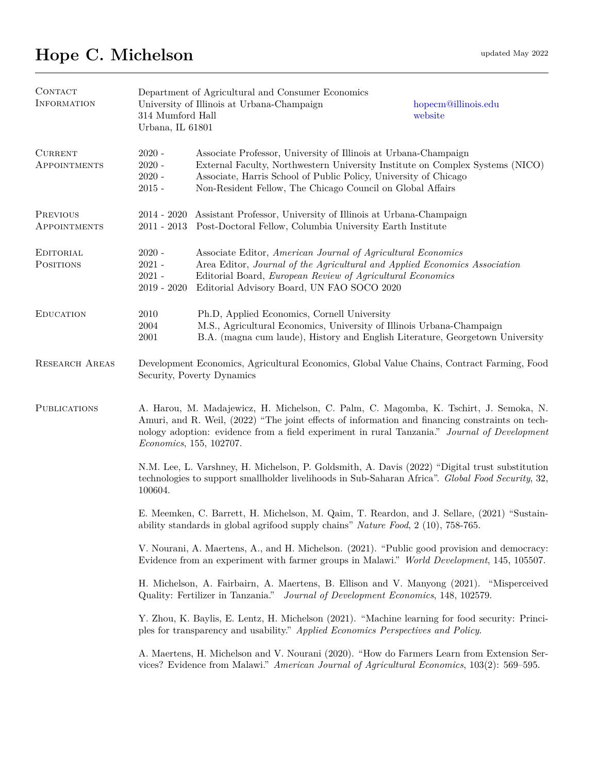## **Hope C. Michelson** updated May 2022

| CONTACT<br><b>INFORMATION</b>         | Department of Agricultural and Consumer Economics<br>University of Illinois at Urbana-Champaign<br>hopecm@illinois.edu<br>314 Mumford Hall<br>website<br>Urbana, IL 61801                                                                                                                                           |                                                                                                                                                                                                                                                                                    |  |  |
|---------------------------------------|---------------------------------------------------------------------------------------------------------------------------------------------------------------------------------------------------------------------------------------------------------------------------------------------------------------------|------------------------------------------------------------------------------------------------------------------------------------------------------------------------------------------------------------------------------------------------------------------------------------|--|--|
| <b>CURRENT</b><br><b>APPOINTMENTS</b> | $2020 -$<br>$2020 -$<br>$2020 -$<br>$2015 -$                                                                                                                                                                                                                                                                        | Associate Professor, University of Illinois at Urbana-Champaign<br>External Faculty, Northwestern University Institute on Complex Systems (NICO)<br>Associate, Harris School of Public Policy, University of Chicago<br>Non-Resident Fellow, The Chicago Council on Global Affairs |  |  |
| PREVIOUS<br><b>APPOINTMENTS</b>       | $2011 - 2013$                                                                                                                                                                                                                                                                                                       | 2014 - 2020 Assistant Professor, University of Illinois at Urbana-Champaign<br>Post-Doctoral Fellow, Columbia University Earth Institute                                                                                                                                           |  |  |
| EDITORIAL<br><b>POSITIONS</b>         | $2020 -$<br>$2021 -$<br>$2021 -$<br>$2019 - 2020$                                                                                                                                                                                                                                                                   | Associate Editor, American Journal of Agricultural Economics<br>Area Editor, Journal of the Agricultural and Applied Economics Association<br>Editorial Board, European Review of Agricultural Economics<br>Editorial Advisory Board, UN FAO SOCO 2020                             |  |  |
| <b>EDUCATION</b>                      | 2010<br>2004<br>2001                                                                                                                                                                                                                                                                                                | Ph.D, Applied Economics, Cornell University<br>M.S., Agricultural Economics, University of Illinois Urbana-Champaign<br>B.A. (magna cum laude), History and English Literature, Georgetown University                                                                              |  |  |
| <b>RESEARCH AREAS</b>                 | Development Economics, Agricultural Economics, Global Value Chains, Contract Farming, Food<br>Security, Poverty Dynamics                                                                                                                                                                                            |                                                                                                                                                                                                                                                                                    |  |  |
| <b>PUBLICATIONS</b>                   | A. Harou, M. Madajewicz, H. Michelson, C. Palm, C. Magomba, K. Tschirt, J. Semoka, N.<br>Amuri, and R. Weil, (2022) "The joint effects of information and financing constraints on tech-<br>nology adoption: evidence from a field experiment in rural Tanzania." Journal of Development<br>Economics, 155, 102707. |                                                                                                                                                                                                                                                                                    |  |  |
|                                       | 100604.                                                                                                                                                                                                                                                                                                             | N.M. Lee, L. Varshney, H. Michelson, P. Goldsmith, A. Davis (2022) "Digital trust substitution<br>technologies to support smallholder livelihoods in Sub-Saharan Africa". Global Food Security, 32,                                                                                |  |  |
|                                       | E. Meemken, C. Barrett, H. Michelson, M. Qaim, T. Reardon, and J. Sellare, (2021) "Sustain-<br>ability standards in global agrifood supply chains" Nature Food, $2(10)$ , 758-765.                                                                                                                                  |                                                                                                                                                                                                                                                                                    |  |  |
|                                       | V. Nourani, A. Maertens, A., and H. Michelson. (2021). "Public good provision and democracy:<br>Evidence from an experiment with farmer groups in Malawi." World Development, 145, 105507.                                                                                                                          |                                                                                                                                                                                                                                                                                    |  |  |
|                                       | H. Michelson, A. Fairbairn, A. Maertens, B. Ellison and V. Manyong (2021). "Misperceived<br>Quality: Fertilizer in Tanzania." Journal of Development Economics, 148, 102579.                                                                                                                                        |                                                                                                                                                                                                                                                                                    |  |  |
|                                       | Y. Zhou, K. Baylis, E. Lentz, H. Michelson (2021). "Machine learning for food security: Princi-<br>ples for transparency and usability." Applied Economics Perspectives and Policy.                                                                                                                                 |                                                                                                                                                                                                                                                                                    |  |  |
|                                       | A. Maertens, H. Michelson and V. Nourani (2020). "How do Farmers Learn from Extension Ser-<br>vices? Evidence from Malawi." American Journal of Agricultural Economics, 103(2): 569–595.                                                                                                                            |                                                                                                                                                                                                                                                                                    |  |  |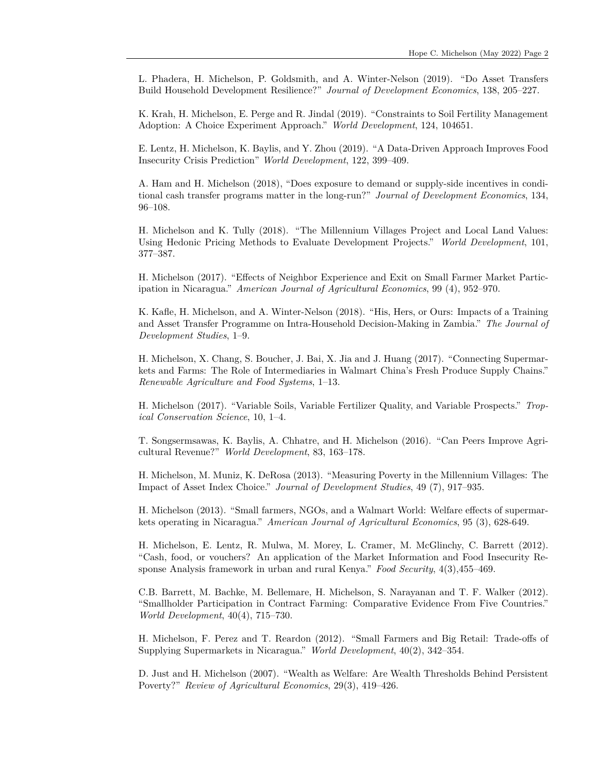L. Phadera, H. Michelson, P. Goldsmith, and A. Winter-Nelson (2019). "Do Asset Transfers Build Household Development Resilience?" *Journal of Development Economics*, 138, 205–227.

K. Krah, H. Michelson, E. Perge and R. Jindal (2019). "Constraints to Soil Fertility Management Adoption: A Choice Experiment Approach." *World Development*, 124, 104651.

E. Lentz, H. Michelson, K. Baylis, and Y. Zhou (2019). "A Data-Driven Approach Improves Food Insecurity Crisis Prediction" *World Development*, 122, 399–409.

A. Ham and H. Michelson (2018), "Does exposure to demand or supply-side incentives in conditional cash transfer programs matter in the long-run?" *Journal of Development Economics*, 134, 96–108.

H. Michelson and K. Tully (2018). "The Millennium Villages Project and Local Land Values: Using Hedonic Pricing Methods to Evaluate Development Projects." *World Development*, 101, 377–387.

H. Michelson (2017). "Effects of Neighbor Experience and Exit on Small Farmer Market Participation in Nicaragua." *American Journal of Agricultural Economics*, 99 (4), 952–970.

K. Kafle, H. Michelson, and A. Winter-Nelson (2018). "His, Hers, or Ours: Impacts of a Training and Asset Transfer Programme on Intra-Household Decision-Making in Zambia." *The Journal of Development Studies*, 1–9.

H. Michelson, X. Chang, S. Boucher, J. Bai, X. Jia and J. Huang (2017). "Connecting Supermarkets and Farms: The Role of Intermediaries in Walmart China's Fresh Produce Supply Chains." *Renewable Agriculture and Food Systems*, 1–13.

H. Michelson (2017). "Variable Soils, Variable Fertilizer Quality, and Variable Prospects." *Tropical Conservation Science*, 10, 1–4.

T. Songsermsawas, K. Baylis, A. Chhatre, and H. Michelson (2016). "Can Peers Improve Agricultural Revenue?" *World Development*, 83, 163–178.

H. Michelson, M. Muniz, K. DeRosa (2013). "Measuring Poverty in the Millennium Villages: The Impact of Asset Index Choice." *Journal of Development Studies*, 49 (7), 917–935.

H. Michelson (2013). "Small farmers, NGOs, and a Walmart World: Welfare effects of supermarkets operating in Nicaragua." *American Journal of Agricultural Economics*, 95 (3), 628-649.

H. Michelson, E. Lentz, R. Mulwa, M. Morey, L. Cramer, M. McGlinchy, C. Barrett (2012). "Cash, food, or vouchers? An application of the Market Information and Food Insecurity Response Analysis framework in urban and rural Kenya." *Food Security*, 4(3),455–469.

C.B. Barrett, M. Bachke, M. Bellemare, H. Michelson, S. Narayanan and T. F. Walker (2012). "Smallholder Participation in Contract Farming: Comparative Evidence From Five Countries." *World Development*, 40(4), 715–730.

H. Michelson, F. Perez and T. Reardon (2012). "Small Farmers and Big Retail: Trade-offs of Supplying Supermarkets in Nicaragua." *World Development*, 40(2), 342–354.

D. Just and H. Michelson (2007). "Wealth as Welfare: Are Wealth Thresholds Behind Persistent Poverty?" *Review of Agricultural Economics*, 29(3), 419–426.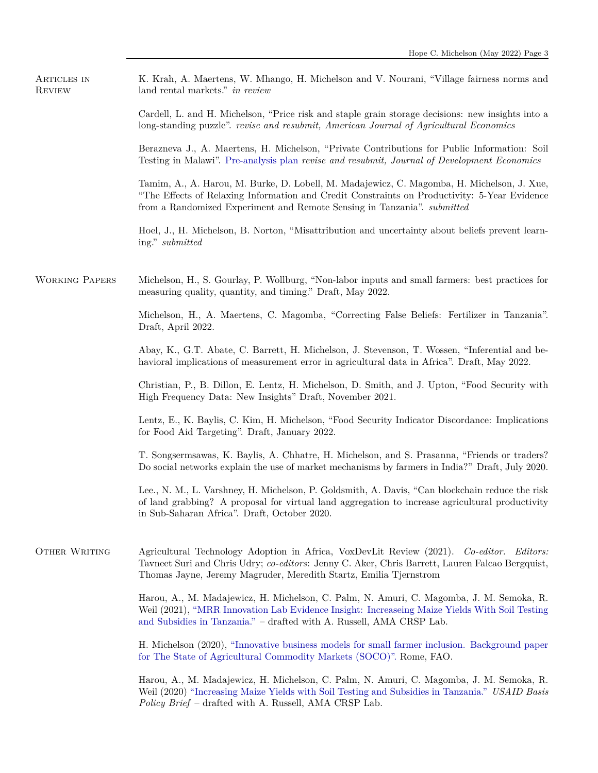| ARTICLES IN<br><b>REVIEW</b> | K. Krah, A. Maertens, W. Mhango, H. Michelson and V. Nourani, "Village fairness norms and<br>land rental markets." in review                                                                                                                                          |
|------------------------------|-----------------------------------------------------------------------------------------------------------------------------------------------------------------------------------------------------------------------------------------------------------------------|
|                              | Cardell, L. and H. Michelson, "Price risk and staple grain storage decisions: new insights into a<br>long-standing puzzle". revise and resubmit, American Journal of Agricultural Economics                                                                           |
|                              | Berazneva J., A. Maertens, H. Michelson, "Private Contributions for Public Information: Soil<br>Testing in Malawi". Pre-analysis plan revise and resubmit, Journal of Development Economics                                                                           |
|                              | Tamim, A., A. Harou, M. Burke, D. Lobell, M. Madajewicz, C. Magomba, H. Michelson, J. Xue,<br>"The Effects of Relaxing Information and Credit Constraints on Productivity: 5-Year Evidence<br>from a Randomized Experiment and Remote Sensing in Tanzania". submitted |
|                              | Hoel, J., H. Michelson, B. Norton, "Misattribution and uncertainty about beliefs prevent learn-<br>ing." submitted                                                                                                                                                    |
| <b>WORKING PAPERS</b>        | Michelson, H., S. Gourlay, P. Wollburg, "Non-labor inputs and small farmers: best practices for<br>measuring quality, quantity, and timing." Draft, May 2022.                                                                                                         |
|                              | Michelson, H., A. Maertens, C. Magomba, "Correcting False Beliefs: Fertilizer in Tanzania".<br>Draft, April 2022.                                                                                                                                                     |
|                              | Abay, K., G.T. Abate, C. Barrett, H. Michelson, J. Stevenson, T. Wossen, "Inferential and be-<br>havioral implications of measurement error in agricultural data in Africa". Draft, May 2022.                                                                         |
|                              | Christian, P., B. Dillon, E. Lentz, H. Michelson, D. Smith, and J. Upton, "Food Security with<br>High Frequency Data: New Insights" Draft, November 2021.                                                                                                             |
|                              | Lentz, E., K. Baylis, C. Kim, H. Michelson, "Food Security Indicator Discordance: Implications<br>for Food Aid Targeting". Draft, January 2022.                                                                                                                       |
|                              | T. Songsermsawas, K. Baylis, A. Chhatre, H. Michelson, and S. Prasanna, "Friends or traders?<br>Do social networks explain the use of market mechanisms by farmers in India?" Draft, July 2020.                                                                       |
|                              | Lee., N. M., L. Varshney, H. Michelson, P. Goldsmith, A. Davis, "Can blockchain reduce the risk<br>of land grabbing? A proposal for virtual land aggregation to increase agricultural productivity<br>in Sub-Saharan Africa". Draft, October 2020.                    |
| <b>OTHER WRITING</b>         | Agricultural Technology Adoption in Africa, VoxDevLit Review (2021). Co-editor. Editors:<br>Tavneet Suri and Chris Udry; co-editors: Jenny C. Aker, Chris Barrett, Lauren Falcao Bergquist,<br>Thomas Jayne, Jeremy Magruder, Meredith Startz, Emilia Tjernstrom      |
|                              | Harou, A., M. Madajewicz, H. Michelson, C. Palm, N. Amuri, C. Magomba, J. M. Semoka, R.<br>Weil (2021), "MRR Innovation Lab Evidence Insight: Increaseing Maize Yields With Soil Testing<br>and Subsidies in Tanzania." - drafted with A. Russell, AMA CRSP Lab.      |
|                              | H. Michelson (2020), "Innovative business models for small farmer inclusion. Background paper<br>for The State of Agricultural Commodity Markets (SOCO)". Rome, FAO.                                                                                                  |
|                              | Harou, A., M. Madajewicz, H. Michelson, C. Palm, N. Amuri, C. Magomba, J. M. Semoka, R.<br>Weil (2020) "Increasing Maize Yields with Soil Testing and Subsidies in Tanzania." USAID Basis<br>Policy Brief – drafted with A. Russell, AMA CRSP Lab.                    |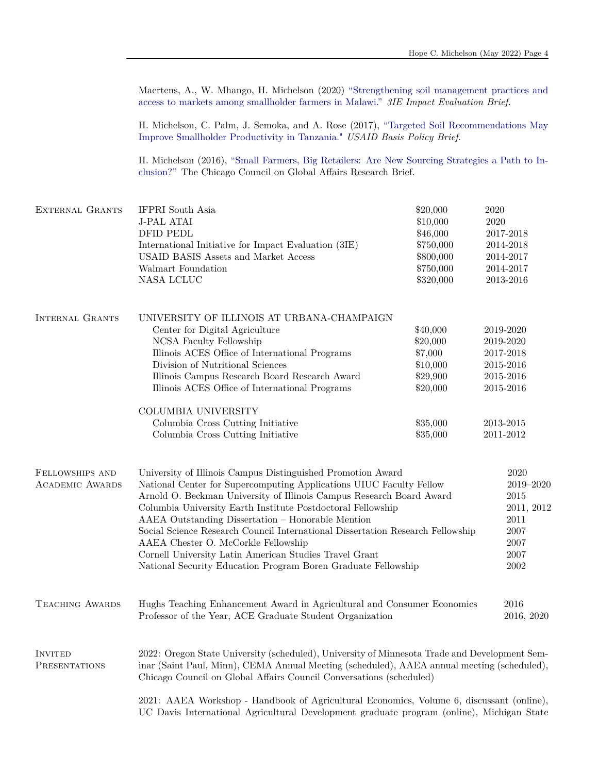Maertens, A., W. Mhango, H. Michelson (2020) ["Strengthening soil management practices and](https://www.3ieimpact.org/evidence-hub/publications/impact-evaluation/strengthening-soil-management-practices-and-access) [access to markets among smallholder farmers in Malawi."](https://www.3ieimpact.org/evidence-hub/publications/impact-evaluation/strengthening-soil-management-practices-and-access) *3IE Impact Evaluation Brief.*

H. Michelson, C. Palm, J. Semoka, and A. Rose (2017), ["Targeted Soil Recommendations May](https://basis.ucdavis.edu/sites/g/files/dgvnsk466/files/2017-06/AMA%20Brief%20-%20Palm%20soil%20testing%20-%202017-07.pdf) [Improve Smallholder Productivity in Tanzania."](https://basis.ucdavis.edu/sites/g/files/dgvnsk466/files/2017-06/AMA%20Brief%20-%20Palm%20soil%20testing%20-%202017-07.pdf) *USAID Basis Policy Brief*.

H. Michelson (2016), ["Small Farmers, Big Retailers: Are New Sourcing Strategies a Path to In](https://www.thechicagocouncil.org/sites/default/files/report_small_farmers-big_retailers_feb2016.pdf)[clusion?"](https://www.thechicagocouncil.org/sites/default/files/report_small_farmers-big_retailers_feb2016.pdf) The Chicago Council on Global Affairs Research Brief.

| EXTERNAL GRANTS                           | <b>IFPRI</b> South Asia<br><b>J-PAL ATAI</b><br><b>DFID PEDL</b><br>International Initiative for Impact Evaluation (3IE)<br><b>USAID BASIS Assets and Market Access</b><br>Walmart Foundation<br>NASA LCLUC                                                                                                                                                                                                                                                                                                                                                                        | \$20,000<br>\$10,000<br>\$46,000<br>\$750,000<br>\$800,000<br>\$750,000<br>\$320,000 | 2020<br>2020<br>2017-2018<br>2014-2018<br>2014-2017<br>2014-2017<br>2013-2016   |
|-------------------------------------------|------------------------------------------------------------------------------------------------------------------------------------------------------------------------------------------------------------------------------------------------------------------------------------------------------------------------------------------------------------------------------------------------------------------------------------------------------------------------------------------------------------------------------------------------------------------------------------|--------------------------------------------------------------------------------------|---------------------------------------------------------------------------------|
| <b>INTERNAL GRANTS</b>                    | UNIVERSITY OF ILLINOIS AT URBANA-CHAMPAIGN<br>Center for Digital Agriculture<br>NCSA Faculty Fellowship<br>Illinois ACES Office of International Programs<br>Division of Nutritional Sciences<br>Illinois Campus Research Board Research Award<br>Illinois ACES Office of International Programs                                                                                                                                                                                                                                                                                   | \$40,000<br>\$20,000<br>\$7,000<br>\$10,000<br>\$29,900<br>\$20,000                  | 2019-2020<br>2019-2020<br>2017-2018<br>2015-2016<br>2015-2016<br>2015-2016      |
|                                           | COLUMBIA UNIVERSITY<br>Columbia Cross Cutting Initiative<br>Columbia Cross Cutting Initiative                                                                                                                                                                                                                                                                                                                                                                                                                                                                                      | \$35,000<br>\$35,000                                                                 | 2013-2015<br>2011-2012                                                          |
| FELLOWSHIPS AND<br><b>ACADEMIC AWARDS</b> | University of Illinois Campus Distinguished Promotion Award<br>National Center for Supercomputing Applications UIUC Faculty Fellow<br>Arnold O. Beckman University of Illinois Campus Research Board Award<br>Columbia University Earth Institute Postdoctoral Fellowship<br>AAEA Outstanding Dissertation - Honorable Mention<br>Social Science Research Council International Dissertation Research Fellowship<br>AAEA Chester O. McCorkle Fellowship<br>Cornell University Latin American Studies Travel Grant<br>National Security Education Program Boren Graduate Fellowship |                                                                                      | 2020<br>2019-2020<br>2015<br>2011, 2012<br>2011<br>2007<br>2007<br>2007<br>2002 |
| <b>TEACHING AWARDS</b>                    | Hughs Teaching Enhancement Award in Agricultural and Consumer Economics<br>Professor of the Year, ACE Graduate Student Organization                                                                                                                                                                                                                                                                                                                                                                                                                                                |                                                                                      | 2016<br>2016, 2020                                                              |
| <b>INVITED</b><br><b>PRESENTATIONS</b>    | 2022: Oregon State University (scheduled), University of Minnesota Trade and Development Sem-<br>inar (Saint Paul, Minn), CEMA Annual Meeting (scheduled), AAEA annual meeting (scheduled),<br>Chicago Council on Global Affairs Council Conversations (scheduled)<br>2021: AAEA Workshop - Handbook of Agricultural Economics, Volume 6, discussant (online),<br>UC Davis International Agricultural Development graduate program (online), Michigan State                                                                                                                        |                                                                                      |                                                                                 |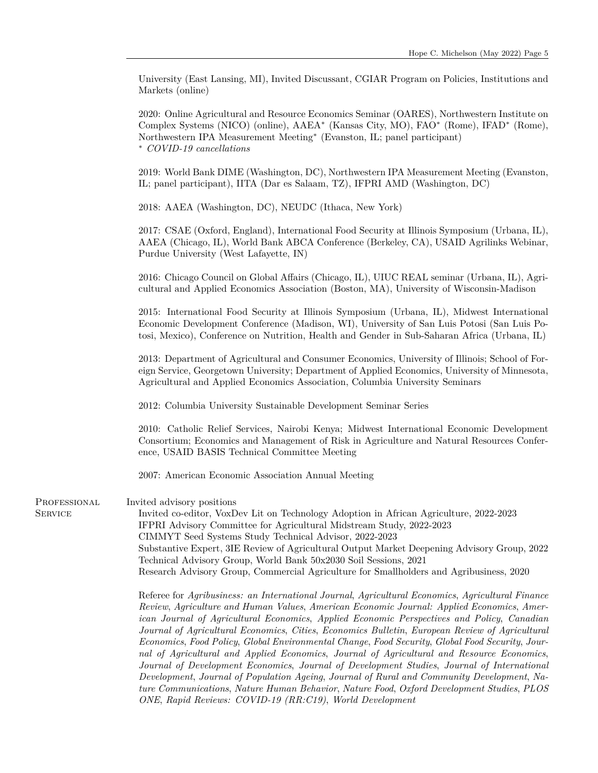University (East Lansing, MI), Invited Discussant, CGIAR Program on Policies, Institutions and Markets (online)

2020: Online Agricultural and Resource Economics Seminar (OARES), Northwestern Institute on Complex Systems (NICO) (online), AAEA<sup>∗</sup> (Kansas City, MO), FAO<sup>∗</sup> (Rome), IFAD<sup>∗</sup> (Rome), Northwestern IPA Measurement Meeting<sup>∗</sup> (Evanston, IL; panel participant) <sup>∗</sup> *COVID-19 cancellations*

2019: World Bank DIME (Washington, DC), Northwestern IPA Measurement Meeting (Evanston, IL; panel participant), IITA (Dar es Salaam, TZ), IFPRI AMD (Washington, DC)

2018: AAEA (Washington, DC), NEUDC (Ithaca, New York)

2017: CSAE (Oxford, England), International Food Security at Illinois Symposium (Urbana, IL), AAEA (Chicago, IL), World Bank ABCA Conference (Berkeley, CA), USAID Agrilinks Webinar, Purdue University (West Lafayette, IN)

2016: Chicago Council on Global Affairs (Chicago, IL), UIUC REAL seminar (Urbana, IL), Agricultural and Applied Economics Association (Boston, MA), University of Wisconsin-Madison

2015: International Food Security at Illinois Symposium (Urbana, IL), Midwest International Economic Development Conference (Madison, WI), University of San Luis Potosi (San Luis Potosi, Mexico), Conference on Nutrition, Health and Gender in Sub-Saharan Africa (Urbana, IL)

2013: Department of Agricultural and Consumer Economics, University of Illinois; School of Foreign Service, Georgetown University; Department of Applied Economics, University of Minnesota, Agricultural and Applied Economics Association, Columbia University Seminars

2012: Columbia University Sustainable Development Seminar Series

2010: Catholic Relief Services, Nairobi Kenya; Midwest International Economic Development Consortium; Economics and Management of Risk in Agriculture and Natural Resources Conference, USAID BASIS Technical Committee Meeting

2007: American Economic Association Annual Meeting

PROFESSIONAL **SERVICE** 

Invited advisory positions Invited co-editor, VoxDev Lit on Technology Adoption in African Agriculture, 2022-2023 IFPRI Advisory Committee for Agricultural Midstream Study, 2022-2023 CIMMYT Seed Systems Study Technical Advisor, 2022-2023 Substantive Expert, 3IE Review of Agricultural Output Market Deepening Advisory Group, 2022 Technical Advisory Group, World Bank 50x2030 Soil Sessions, 2021

Research Advisory Group, Commercial Agriculture for Smallholders and Agribusiness, 2020

Referee for *Agribusiness: an International Journal*, *Agricultural Economics*, *Agricultural Finance Review*, *Agriculture and Human Values*, *American Economic Journal: Applied Economics*, *American Journal of Agricultural Economics*, *Applied Economic Perspectives and Policy*, *Canadian Journal of Agricultural Economics*, *Cities*, *Economics Bulletin*, *European Review of Agricultural Economics*, *Food Policy*, *Global Environmental Change*, *Food Security*, *Global Food Security*, *Journal of Agricultural and Applied Economics*, *Journal of Agricultural and Resource Economics*, *Journal of Development Economics*, *Journal of Development Studies*, *Journal of International Development*, *Journal of Population Ageing*, *Journal of Rural and Community Development*, *Nature Communications*, *Nature Human Behavior*, *Nature Food*, *Oxford Development Studies*, *PLOS ONE*, *Rapid Reviews: COVID-19 (RR:C19)*, *World Development*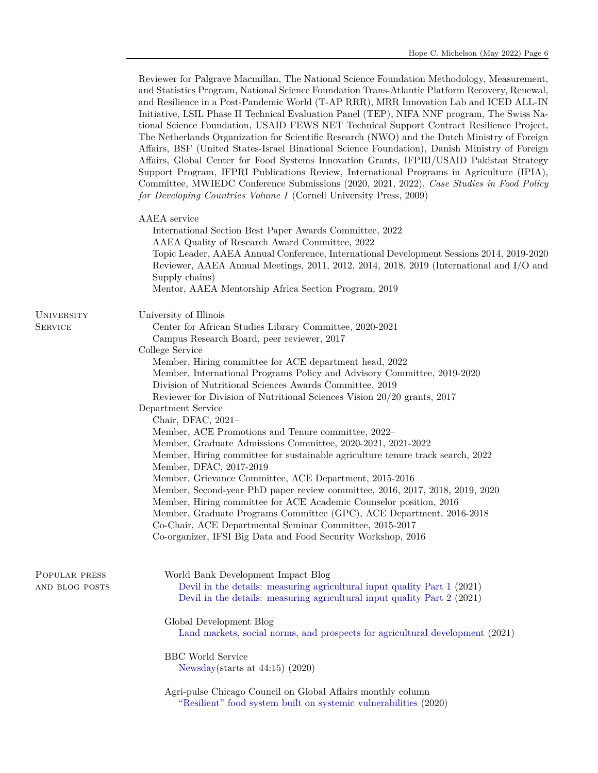| Reviewer for Palgrave Macmillan, The National Science Foundation Methodology, Measurement,<br>and Statistics Program, National Science Foundation Trans-Atlantic Platform Recovery, Renewal,<br>and Resilience in a Post-Pandemic World (T-AP RRR), MRR Innovation Lab and ICED ALL-IN<br>Initiative, LSIL Phase II Technical Evaluation Panel (TEP), NIFA NNF program, The Swiss Na-<br>tional Science Foundation, USAID FEWS NET Technical Support Contract Resilience Project,<br>The Netherlands Organization for Scientific Research (NWO) and the Dutch Ministry of Foreign<br>Affairs, BSF (United States-Israel Binational Science Foundation), Danish Ministry of Foreign<br>Affairs, Global Center for Food Systems Innovation Grants, IFPRI/USAID Pakistan Strategy<br>Support Program, IFPRI Publications Review, International Programs in Agriculture (IPIA),<br>Committee, MWIEDC Conference Submissions (2020, 2021, 2022), Case Studies in Food Policy<br>for Developing Countries Volume I (Cornell University Press, 2009)                                                                                  |
|--------------------------------------------------------------------------------------------------------------------------------------------------------------------------------------------------------------------------------------------------------------------------------------------------------------------------------------------------------------------------------------------------------------------------------------------------------------------------------------------------------------------------------------------------------------------------------------------------------------------------------------------------------------------------------------------------------------------------------------------------------------------------------------------------------------------------------------------------------------------------------------------------------------------------------------------------------------------------------------------------------------------------------------------------------------------------------------------------------------------------------|
| AAEA service<br>International Section Best Paper Awards Committee, 2022<br>AAEA Quality of Research Award Committee, 2022<br>Topic Leader, AAEA Annual Conference, International Development Sessions 2014, 2019-2020<br>Reviewer, AAEA Annual Meetings, 2011, 2012, 2014, 2018, 2019 (International and I/O and<br>Supply chains)<br>Mentor, AAEA Mentorship Africa Section Program, 2019                                                                                                                                                                                                                                                                                                                                                                                                                                                                                                                                                                                                                                                                                                                                     |
| University of Illinois<br>Center for African Studies Library Committee, 2020-2021<br>Campus Research Board, peer reviewer, 2017<br>College Service<br>Member, Hiring committee for ACE department head, 2022<br>Member, International Programs Policy and Advisory Committee, 2019-2020<br>Division of Nutritional Sciences Awards Committee, 2019<br>Reviewer for Division of Nutritional Sciences Vision 20/20 grants, 2017<br>Department Service<br>Chair, DFAC, 2021-<br>Member, ACE Promotions and Tenure committee, 2022–<br>Member, Graduate Admissions Committee, 2020-2021, 2021-2022<br>Member, Hiring committee for sustainable agriculture tenure track search, 2022<br>Member, DFAC, 2017-2019<br>Member, Grievance Committee, ACE Department, 2015-2016<br>Member, Second-year PhD paper review committee, 2016, 2017, 2018, 2019, 2020<br>Member, Hiring committee for ACE Academic Counselor position, 2016<br>Member, Graduate Programs Committee (GPC), ACE Department, 2016-2018<br>Co-Chair, ACE Departmental Seminar Committee, 2015-2017<br>Co-organizer, IFSI Big Data and Food Security Workshop, 2016 |
| World Bank Development Impact Blog<br>Devil in the details: measuring agricultural input quality Part 1 (2021)<br>Devil in the details: measuring agricultural input quality Part 2 (2021)<br>Global Development Blog<br>Land markets, social norms, and prospects for agricultural development (2021)<br><b>BBC</b> World Service<br>Newsday(starts at $44:15)$ (2020)<br>Agri-pulse Chicago Council on Global Affairs monthly column<br>"Resilient" food system built on systemic vulnerabilities (2020)                                                                                                                                                                                                                                                                                                                                                                                                                                                                                                                                                                                                                     |
|                                                                                                                                                                                                                                                                                                                                                                                                                                                                                                                                                                                                                                                                                                                                                                                                                                                                                                                                                                                                                                                                                                                                |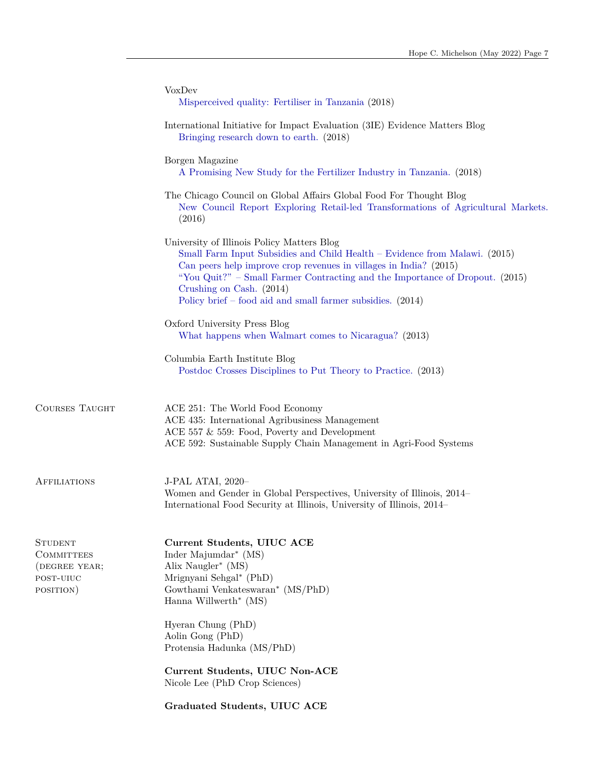|                                                                                | VoxDev<br>Misperceived quality: Fertiliser in Tanzania (2018)                                                                                                                                                                                                                                                                                                           |
|--------------------------------------------------------------------------------|-------------------------------------------------------------------------------------------------------------------------------------------------------------------------------------------------------------------------------------------------------------------------------------------------------------------------------------------------------------------------|
|                                                                                | International Initiative for Impact Evaluation (3IE) Evidence Matters Blog<br>Bringing research down to earth. (2018)                                                                                                                                                                                                                                                   |
|                                                                                | Borgen Magazine<br>A Promising New Study for the Fertilizer Industry in Tanzania. (2018)                                                                                                                                                                                                                                                                                |
|                                                                                | The Chicago Council on Global Affairs Global Food For Thought Blog<br>New Council Report Exploring Retail-led Transformations of Agricultural Markets.<br>(2016)                                                                                                                                                                                                        |
|                                                                                | University of Illinois Policy Matters Blog<br>Small Farm Input Subsidies and Child Health - Evidence from Malawi. (2015)<br>Can peers help improve crop revenues in villages in India? (2015)<br>"You Quit?" - Small Farmer Contracting and the Importance of Dropout. (2015)<br>Crushing on Cash. (2014)<br>Policy brief – food aid and small farmer subsidies. (2014) |
|                                                                                | Oxford University Press Blog<br>What happens when Walmart comes to Nicaragua? (2013)                                                                                                                                                                                                                                                                                    |
|                                                                                | Columbia Earth Institute Blog<br>Postdoc Crosses Disciplines to Put Theory to Practice. (2013)                                                                                                                                                                                                                                                                          |
| <b>COURSES TAUGHT</b>                                                          | ACE 251: The World Food Economy<br>ACE 435: International Agribusiness Management<br>ACE 557 $&$ 559: Food, Poverty and Development<br>ACE 592: Sustainable Supply Chain Management in Agri-Food Systems                                                                                                                                                                |
| <b>AFFILIATIONS</b>                                                            | J-PAL ATAI, 2020-<br>Women and Gender in Global Perspectives, University of Illinois, 2014–<br>International Food Security at Illinois, University of Illinois, 2014–                                                                                                                                                                                                   |
| <b>STUDENT</b><br><b>COMMITTEES</b><br>(DEGREE YEAR;<br>POST-UIUC<br>POSITION) | Current Students, UIUC ACE<br>Inder Majumdar <sup>*</sup> (MS)<br>Alix Naugler* (MS)<br>Mrignyani Sehgal* (PhD)<br>Gowthami Venkateswaran* (MS/PhD)<br>Hanna Willwerth* $(MS)$<br>Hyeran Chung (PhD)<br>Aolin Gong (PhD)                                                                                                                                                |
|                                                                                | Protensia Hadunka (MS/PhD)                                                                                                                                                                                                                                                                                                                                              |
|                                                                                | Current Students, UIUC Non-ACE<br>Nicole Lee (PhD Crop Sciences)                                                                                                                                                                                                                                                                                                        |
|                                                                                | Graduated Students, UIUC ACE                                                                                                                                                                                                                                                                                                                                            |